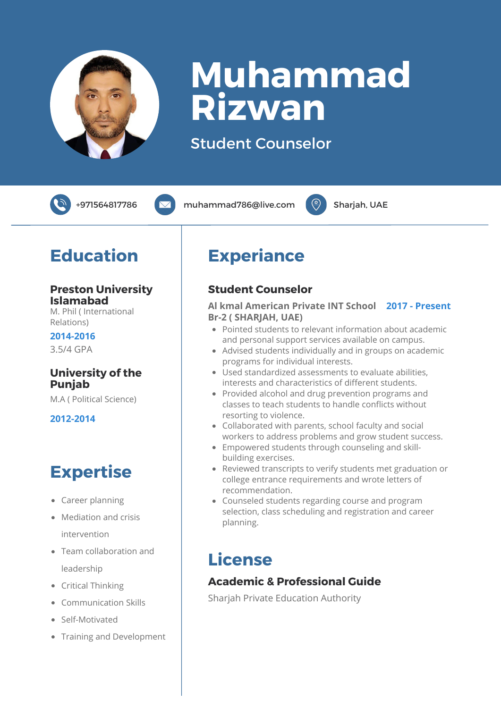

# **Muhammad Rizwan**

### Student Counselor

+971564817786

muhammad786@live.com  $\left(\begin{matrix} \heartsuit \end{matrix}\right)$  Sharjah, UAE

## **Education**

#### **Preston University Islamabad**

M. Phil ( International Relations)

**2014-2016**

3.5/4 GPA

#### **University of the Punjab**

M.A ( Political Science)

**2012-2014**

## **Expertise**

- Career planning
- Mediation and crisis intervention
- Team collaboration and leadership
- Critical Thinking
- Communication Skills
- Self-Motivated
- Training and Development

## **Experiance**

#### **Student Counselor**

**Al kmal American Private INT School 2017 - Present Br-2 ( SHARJAH, UAE)**

- Pointed students to relevant information about academic and personal support services available on campus.
- Advised students individually and in groups on academic programs for individual interests.
- Used standardized assessments to evaluate abilities, interests and characteristics of different students.
- Provided alcohol and drug prevention programs and classes to teach students to handle conflicts without resorting to violence.
- Collaborated with parents, school faculty and social workers to address problems and grow student success.
- Empowered students through counseling and skillbuilding exercises.
- Reviewed transcripts to verify students met graduation or college entrance requirements and wrote letters of recommendation.
- Counseled students regarding course and program selection, class scheduling and registration and career planning.

## **License**

#### **Academic & Professional Guide**

Sharjah Private Education Authority